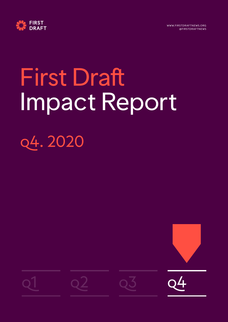



# First Draft Impact Report q4. 2020

 $q1$   $q2$   $q3$   $q4$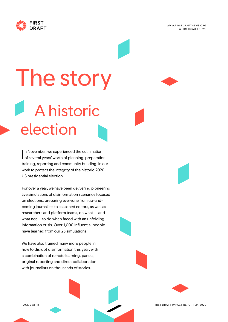



# **A historic** election The story

n November, we experienced the culmination In November, we experienced the culmination<br>of several years' worth of planning, preparation, training, reporting and community building, in our work to protect the integrity of the historic 2020 US presidential election.

For over a year, we have been delivering pioneering live simulations of disinformation scenarios focused on elections, preparing everyone from up-andcoming journalists to seasoned editors, as well as researchers and platform teams, on what — and what not — to do when faced with an unfolding information crisis. Over 1,000 influential people have learned from our 25 simulations.

We have also trained many more people in how to disrupt disinformation this year, with a combination of remote learning, panels, original reporting and direct collaboration with journalists on thousands of stories.

PAGE 2 OF 13 FIRST DRAFT IMPACT REPORT Q4 2020

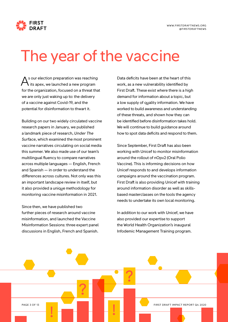

### The year of the vaccine

s our election preparation was reaching its apex, we launched a new program for the organization, focused on a threat that we are only just waking up to: the delivery of a vaccine against Covid-19, and the potential for disinformation to thwart it. A sour election preparation was reaching Data deficits have been at the heart of this<br>its apex, we launched a new program work, as a new vulnerability identified by

Building on our two widely circulated vaccine research papers in January, we published a landmark piece of research, *Under The Surface*, which examined the most prominent vaccine narratives circulating on social media this summer. We also made use of our team's multilingual fluency to compare narratives across multiple languages — English, French and Spanish — in order to understand the differences across cultures. Not only was this an important landscape review in itself, but it also provided a unique methodology for monitoring vaccine misinformation in 2021.

Since then, we have published two further pieces of research around vaccine misinformation, and launched the Vaccine Misinformation Sessions: three expert panel discussions in English, French and Spanish.

First Draft. These exist where there is a high demand for information about a topic, but a low supply of quality information. We have worked to build awareness and understanding of these threats, and shown how they can be identified before disinformation takes hold. We will continue to build guidance around how to spot data deficits and respond to them.

Since September, First Draft has also been working with Unicef to monitor misinformation around the rollout of nOpv2 (Oral Polio Vaccine). This is informing decisions on how Unicef responds to and develops information campaigns around the vaccination program. First Draft is also providing Unicef with training around information disorder as well as skillsbased masterclasses on the tools the agency needs to undertake its own local monitoring.

In addition to our work with Unicef, we have also provided our expertise to support the World Health Organization's inaugural Infodemic Management Training program.

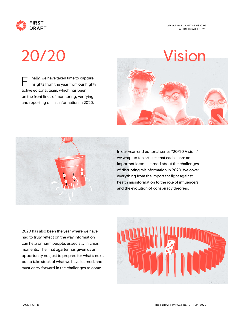

inally, we have taken time to capture insights from the year from our highly active editorial team, which has been on the front lines of monitoring, verifying and reporting on misinformation in 2020. F





In our year-end editorial series "[20/20 Vision,](https://firstdraftnews.org/long-form-article/20-20-vision/)" we wrap up ten articles that each share an important lesson learned about the challenges of disrupting misinformation in 2020. We cover everything from the important fight against health misinformation to the role of influencers and the evolution of conspiracy theories.

2020 has also been the year where we have had to truly reflect on the way information can help or harm people, especially in crisis moments. The final quarter has given us an opportunity not just to prepare for what's next, but to take stock of what we have learned, and must carry forward in the challenges to come.

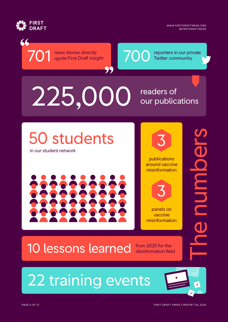

�

WWW.FIRSTDRAFTNEWS.ORG @FIRSTDRAFTNEWS

# 225,000 readers of our publications

**701** news stories directly<br>quote First Draft insight<br> $\begin{array}{|c|c|c|c|}\n\hline\n\text{700} & \text{reporters in our private} \\
\hline\n\text{700} & \text{Twitter community}\n\hline\n\end{array}$ 

99

50 students

news stories directly quote First Draft insight

in our student network







panels on vaccine misinformation

### 10 lessons learned from 2020 for the

22 training events

disinformation field

The numbers

**POILINDE**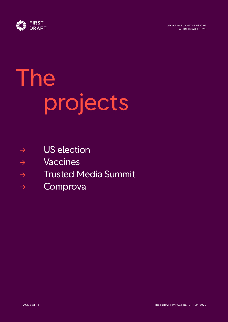

# The projects

- $\rightarrow$  US election
- → Vaccines
- → Trusted Media Summit
- → Comprova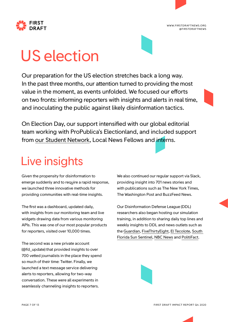





# US election

Our preparation for the US election stretches back a long way. In the past three months, our attention turned to providing the most value in the moment, as events unfolded. We focused our efforts on two fronts: informing reporters with insights and alerts in real time, and inoculating the public against likely disinformation tactics.

On Election Day, our support intensified with our global editorial team working with ProPublica's Electionland, and included support from [our Student Network,](https://firstdraftnews.org/latest/first-draft-us-2020-student-network/) Local News Fellows and interns.

#### Live insights

Given the propensity for disinformation to emerge suddenly and to require a rapid response, we launched three innovative methods for providing communities with real-time insights.

The first was a dashboard, updated daily, with insights from our monitoring team and live widgets drawing data from various monitoring APIs. This was one of our most popular products for reporters, visited over 10,000 times.

The second was a new private account (@fd\_update) that provided insights to over 700 vetted journalists in the place they spend so much of their time: Twitter. Finally, we launched a text message service delivering alerts to reporters, allowing for two-way conversation. These were all experiments in seamlessly channeling insights to reporters.

We also continued our regular support via Slack, providing insight into 701 news stories and with publications such as The New York Times, The Washington Post and BuzzFeed News.

Our Disinformation Defense League (DDL) researchers also began hosting our simulation training, in addition to sharing daily top lines and weekly insights to DDL and news outlets such as the [Guardian](https://www.theguardian.com/us-news/2020/oct/22/latinos-targets-election-disinformation?CMP=Share_iOSApp_Other), [FiveThirtyEight](https://fivethirtyeight.com/features/why-a-gamer-started-a-web-of-disinformation-sites-aimed-at-latino-americans/), [El Tecolote](http://eltecolote.org/content/en/election/disinformation-and-voter-manipulation-during-the-2020-election/), [South](https://www.sun-sentinel.com/news/politics/elections/fl-ne-south-florida-election-latino-disinformation-flood-20201020-aqhsubbc4fbhvh6ylwzxgdofie-story.html)  [Florida Sun Sentinel](https://www.sun-sentinel.com/news/politics/elections/fl-ne-south-florida-election-latino-disinformation-flood-20201020-aqhsubbc4fbhvh6ylwzxgdofie-story.html), [NBC News](https://www.nbcnews.com/tech/social-media/days-left-black-voters-face-orchestrated-efforts-discourage-voting-n1243780) and [PolitiFact.](https://www.politifact.com/article/2020/oct/07/misinformation-campaign-against-kamala-harris-what/)

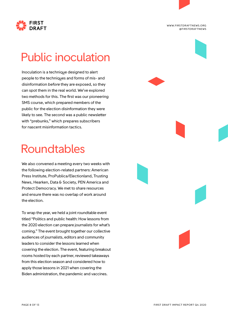

Public inoculation

Inoculation is a technique designed to alert people to the techniques and forms of mis- and disinformation *before* they are exposed, so they can spot them in the real world. We've explored two methods for this. The first was our pioneering SMS course, which prepared members of the public for the election disinformation they were likely to see. The second was a public newsletter with "prebunks," which prepares subscribers for nascent misinformation tactics.

#### Roundtables

We also convened a meeting every two weeks with the following election-related partners: American Press Institute, ProPublica/Electionland, Trusting News, Hearken, Data & Society, PEN America and Protect Democracy. We met to share resources and ensure there was no overlap of work around the election.

To wrap the year, we held a joint roundtable event titled "Politics and public health: How lessons from the 2020 election can prepare journalists for what's coming." The event brought together our collective audiences of journalists, editors and community leaders to consider the lessons learned when covering the election. The event, featuring breakout rooms hosted by each partner, reviewed takeaways from this election season and considered how to apply those lessons in 2021 when covering the Biden administration, the pandemic and vaccines.

WWW.FIRSTDRAFTNEWS.ORG @FIRSTDRAFTNEWS

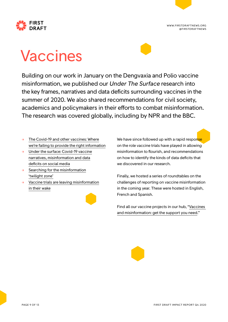

# Vaccines

Building on our work in January on the Dengvaxia and Polio vaccine misinformation, we published our *Under The Surface* research into the key frames, narratives and data deficits surrounding vaccines in the summer of 2020. We also shared recommendations for civil society, academics and policymakers in their efforts to combat misinformation. The research was covered globally, including by NPR and the BBC.

- [The Covid-19 and other vaccines: Where](https://firstdraftnews.org/long-form-article/the-covid-19-and-other-vaccines-where-were-failing-to-provide-the-right-information/) [we're failing to provide the right information](https://firstdraftnews.org/long-form-article/the-covid-19-and-other-vaccines-where-were-failing-to-provide-the-right-information/)
- $\rightarrow$  [Under the surface: Covid-19 vaccine](https://firstdraftnews.org/long-form-article/under-the-surface-covid-19-vaccine-narratives-misinformation-and-data-deficits-on-social-media/) [narratives, misinformation and data](https://firstdraftnews.org/long-form-article/under-the-surface-covid-19-vaccine-narratives-misinformation-and-data-deficits-on-social-media/) [deficits on social media](https://firstdraftnews.org/long-form-article/under-the-surface-covid-19-vaccine-narratives-misinformation-and-data-deficits-on-social-media/)
- $\rightarrow$  [Searching for the misinformation](https://medium.com/1st-draft/searching-for-the-misinformation-twilight-zone-63aea9b61cce) ['twilight zone'](https://medium.com/1st-draft/searching-for-the-misinformation-twilight-zone-63aea9b61cce)
- $\rightarrow$  [Vaccine trials are leaving misinformation](https://firstdraftnews.org/latest/vaccine-trials-are-leaving-misinformation-in-their-wake/) [in their wake](https://firstdraftnews.org/latest/vaccine-trials-are-leaving-misinformation-in-their-wake/)



We have since followed up with a rapid response on the role vaccine trials have played in allowing misinformation to flourish, and recommendations on how to identify the kinds of data deficits that we discovered in our research.

Finally, we hosted a series of roundtables on the challenges of reporting on vaccine misinformation in the coming year. These were hosted in English, French and Spanish.

Find all our vaccine projects in our hub, "[Vaccines](https://firstdraftnews.org/project/vaccines-and-misinformation-get-the-support-you-need/)  [and misinformation: get the support you need](https://firstdraftnews.org/project/vaccines-and-misinformation-get-the-support-you-need/)."

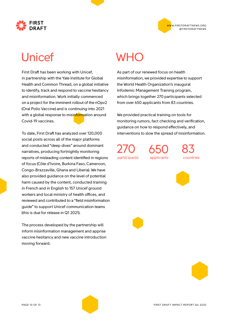

#### **IRST**

#### Unicef

First Draft has been working with Unicef, in partnership with the Yale Institute for Global Health and Common Thread, on a global initiative to identify, track and respond to vaccine hesitancy and misinformation. Work initially commenced on a project for the imminent rollout of the nOpv2 (Oral Polio Vaccine) and is continuing into 2021 with a global response to misinformation around Covid-19 vaccines.

To date, First Draft has analyzed over 120,000 social posts across all of the major platforms and conducted "deep dives" around dominant narratives, producing fortnightly monitoring reports of misleading content identified in regions of focus (Côte d'Ivoire, Burkina Faso, Cameroon, Congo-Brazzaville, Ghana and Liberia). We have also provided guidance on the level of potential harm caused by the content, conducted training in French and in English to 157 Unicef ground workers and local ministry of health offices, and reviewed and contributed to a "field misinformation guide" to support Unicef communication teams (this is due for release in Q1 2021).

The process developed by the partnership will inform misinformation management and apprise vaccine hesitancy and new vaccine introduction moving forward.

#### WHO

As part of our renewed focus on health misinformation, we provided expertise to support the World Health Organization's inaugural Infodemic Management Training program, which brings together 270 participants selected from over 650 applicants from 83 countries.

We provided practical training on tools for monitoring rumors, fact checking and verification, guidance on how to respond effectively, and interventions to slow the spread of misinformation.

270 participants

650 applicants 83 countries

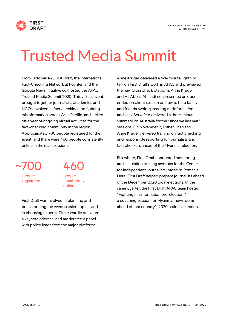

# Trusted Media Summit

From October 1-2, First Draft, the International Fact-Checking Network at Poynter, and the Google News Initiative co-hosted the APAC Trusted Media Summit 2020. This virtual event brought together journalists, academics and NGOs involved in fact checking and fighting misinformation across Asia-Pacific, and kicked off a year of ongoing virtual activities for the fact-checking community in the region. Approximately 700 people registered for the event, and there were 460 people consistently online in the main sessions.

~700 people registered



First Draft was involved in planning and brainstorming the event session topics, and in choosing experts. Claire Wardle delivered a keynote address, and moderated a panel with policy leads from the major platforms.

Anne Kruger delivered a five-minute lightning talk on First Draft's work in APAC and previewed the new CrossCheck platform. Anne Kruger and Ali Abbas Ahmadi co-presented an openended breakout session on how to help family and friends avoid spreading misinformation, and Jack Berkefeld delivered a three-minute summary on Australia for the "since we last met" sessions. On November 2, Esther Chan and Anne Kruger delivered training on fact checking and responsible reporting for journalists and fact checkers ahead of the Myanmar election.

Elsewhere, First Draft conducted monitoring and simulation training sessions for the Center for Independent Journalism, based in Romania. Here, First Draft helped prepare journalists ahead of the December 2020 local elections. In the same quarter, the First Draft APAC team hosted "Fighting misinformation pre-election," a coaching session for Myanmar newsrooms ahead of that country's 2020 national election.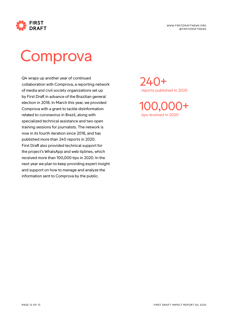

### **Comprova**

Q4 wraps up another year of continued collaboration with Comprova, a reporting network of media and civil society organizations set up by First Draft in advance of the Brazilian general election in 2018. In March this year, we provided Comprova with a grant to tackle disinformation related to coronavirus in Brazil, along with specialized technical assistance and two open training sessions for journalists. The network is now in its fourth iteration since 2018, and has published more than 240 reports in 2020. First Draft also provided technical support for the project's WhatsApp and web tiplines, which received more than 100,000 tips in 2020. In the next year we plan to keep providing expert insight and support on how to manage and analyze the information sent to Comprova by the public.

 $74()$ + reports published in 2020

100,000+ tips received in 2020